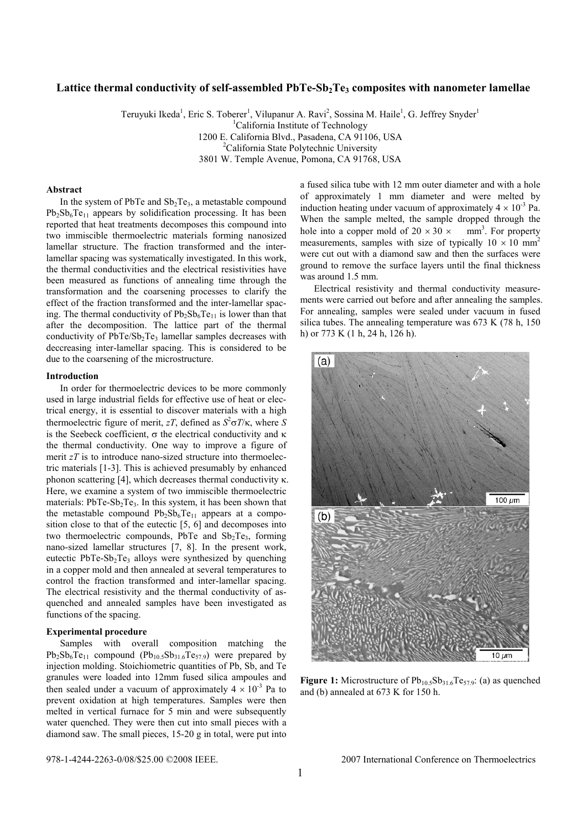# Lattice thermal conductivity of self-assembled PbTe-Sb<sub>2</sub>Te<sub>3</sub> composites with nanometer lamellae

Teruyuki Ikeda<sup>1</sup>, Eric S. Toberer<sup>1</sup>, Vilupanur A. Ravi<sup>2</sup>, Sossina M. Haile<sup>1</sup>, G. Jeffrey Snyder<sup>1</sup> <sup>1</sup>California Institute of Technology 1200 E. California Blvd., Pasadena, CA 91106, USA 2 <sup>2</sup>California State Polytechnic University 3801 W. Temple Avenue, Pomona, CA 91768, USA

### **Abstract**

In the system of PbTe and  $Sb<sub>2</sub>Te<sub>3</sub>$ , a metastable compound  $Pb_2Sb_6Te_{11}$  appears by solidification processing. It has been reported that heat treatments decomposes this compound into two immiscible thermoelectric materials forming nanosized lamellar structure. The fraction transformed and the interlamellar spacing was systematically investigated. In this work, the thermal conductivities and the electrical resistivities have been measured as functions of annealing time through the transformation and the coarsening processes to clarify the effect of the fraction transformed and the inter-lamellar spacing. The thermal conductivity of  $Pb_2Sb_6Te_{11}$  is lower than that after the decomposition. The lattice part of the thermal conductivity of  $PbTe/Sp_2Te_3$  lamellar samples decreases with deccreasing inter-lamellar spacing. This is considered to be due to the coarsening of the microstructure.

#### **Introduction**

In order for thermoelectric devices to be more commonly used in large industrial fields for effective use of heat or electrical energy, it is essential to discover materials with a high thermoelectric figure of merit, *zT*, defined as  $S^2 \sigma T/\kappa$ , where *S* is the Seebeck coefficient,  $\sigma$  the electrical conductivity and κ the thermal conductivity. One way to improve a figure of merit *zT* is to introduce nano-sized structure into thermoelectric materials [1-3]. This is achieved presumably by enhanced phonon scattering [4], which decreases thermal conductivity κ. Here, we examine a system of two immiscible thermoelectric materials:  $PbTe-Sb<sub>2</sub>Te<sub>3</sub>$ . In this system, it has been shown that the metastable compound  $Pb_2Sb_6Te_{11}$  appears at a composition close to that of the eutectic [5, 6] and decomposes into two thermoelectric compounds, PbTe and  $Sb<sub>2</sub>Te<sub>3</sub>$ , forming nano-sized lamellar structures [7, 8]. In the present work, eutectic PbTe-Sb<sub>2</sub>Te<sub>3</sub> alloys were synthesized by quenching in a copper mold and then annealed at several temperatures to control the fraction transformed and inter-lamellar spacing. The electrical resistivity and the thermal conductivity of asquenched and annealed samples have been investigated as functions of the spacing.

## **Experimental procedure**

Samples with overall composition matching the  $Pb_2Sb_6Te_{11}$  compound  $(Pb_{10.5}Sb_{31.6}Te_{57.9})$  were prepared by injection molding. Stoichiometric quantities of Pb, Sb, and Te granules were loaded into 12mm fused silica ampoules and then sealed under a vacuum of approximately  $4 \times 10^{-3}$  Pa to prevent oxidation at high temperatures. Samples were then melted in vertical furnace for 5 min and were subsequently water quenched. They were then cut into small pieces with a diamond saw. The small pieces, 15-20 g in total, were put into

a fused silica tube with 12 mm outer diameter and with a hole of approximately 1 mm diameter and were melted by induction heating under vacuum of approximately  $4 \times 10^{-3}$  Pa. When the sample melted, the sample dropped through the hole into a copper mold of  $20 \times 30 \times \text{mm}^3$ . For property measurements, samples with size of typically  $10 \times 10 \text{ mm}^2$ were cut out with a diamond saw and then the surfaces were ground to remove the surface layers until the final thickness was around 1.5 mm.

Electrical resistivity and thermal conductivity measurements were carried out before and after annealing the samples. For annealing, samples were sealed under vacuum in fused silica tubes. The annealing temperature was 673 K (78 h, 150 h) or 773 K (1 h, 24 h, 126 h).



**Figure 1:** Microstructure of  $Pb_{10.5}Sb_{31.6}Te_{57.9}$ : (a) as quenched and (b) annealed at 673 K for 150 h.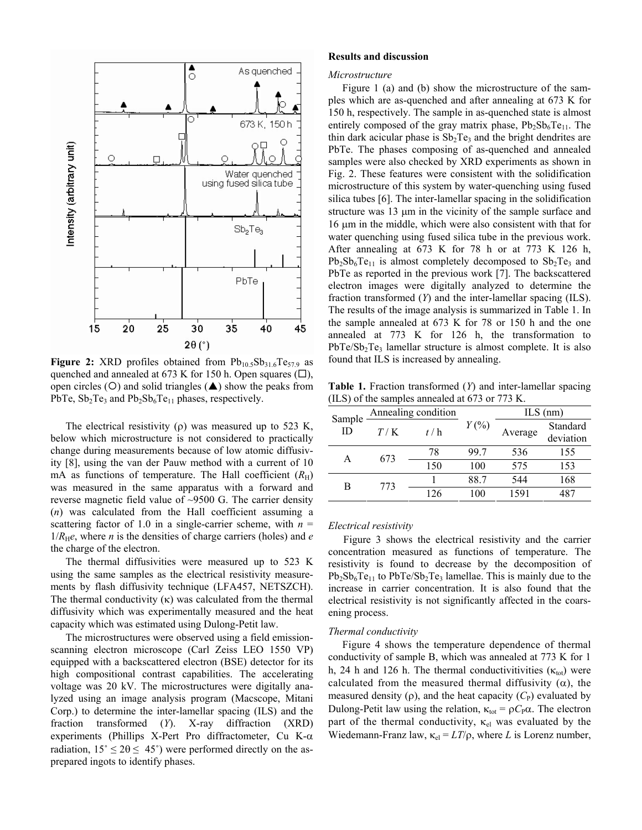

**Figure 2:** XRD profiles obtained from  $Pb_{10.5}Sb_{31.6}Te_{57.9}$  as quenched and annealed at 673 K for 150 h. Open squares  $(\Box)$ , open circles ( $O$ ) and solid triangles ( $\triangle$ ) show the peaks from PbTe,  $Sb_2Te_3$  and  $Pb_2Sb_6Te_{11}$  phases, respectively.

The electrical resistivity ( $\rho$ ) was measured up to 523 K, below which microstructure is not considered to practically change during measurements because of low atomic diffusivity [8], using the van der Pauw method with a current of 10 mA as functions of temperature. The Hall coefficient  $(R<sub>H</sub>)$ was measured in the same apparatus with a forward and reverse magnetic field value of ~9500 G. The carrier density (*n*) was calculated from the Hall coefficient assuming a scattering factor of 1.0 in a single-carrier scheme, with  $n =$  $1/R_{\text{H}}e$ , where *n* is the densities of charge carriers (holes) and *e* the charge of the electron.

The thermal diffusivities were measured up to 523 K using the same samples as the electrical resistivity measurements by flash diffusivity technique (LFA457, NETSZCH). The thermal conductivity  $(\kappa)$  was calculated from the thermal diffusivity which was experimentally measured and the heat capacity which was estimated using Dulong-Petit law.

The microstructures were observed using a field emissionscanning electron microscope (Carl Zeiss LEO 1550 VP) equipped with a backscattered electron (BSE) detector for its high compositional contrast capabilities. The accelerating voltage was 20 kV. The microstructures were digitally analyzed using an image analysis program (Macscope, Mitani Corp.) to determine the inter-lamellar spacing (ILS) and the fraction transformed (*Y*). X-ray diffraction (XRD) experiments (Phillips X-Pert Pro diffractometer, Cu K-α radiation,  $15^{\circ} \le 2\theta \le 45^{\circ}$ ) were performed directly on the asprepared ingots to identify phases.

#### **Results and discussion**

#### *Microstructure*

Figure 1 (a) and (b) show the microstructure of the samples which are as-quenched and after annealing at 673 K for 150 h, respectively. The sample in as-quenched state is almost entirely composed of the gray matrix phase,  $Pb_2Sb_6Te_{11}$ . The thin dark acicular phase is  $Sb<sub>2</sub>Te<sub>3</sub>$  and the bright dendrites are PbTe. The phases composing of as-quenched and annealed samples were also checked by XRD experiments as shown in Fig. 2. These features were consistent with the solidification microstructure of this system by water-quenching using fused silica tubes [6]. The inter-lamellar spacing in the solidification structure was 13 μm in the vicinity of the sample surface and 16 μm in the middle, which were also consistent with that for water quenching using fused silica tube in the previous work. After annealing at 673 K for 78 h or at 773 K 126 h,  $Pb_2Sb_6Te_{11}$  is almost completely decomposed to  $Sb_2Te_3$  and PbTe as reported in the previous work [7]. The backscattered electron images were digitally analyzed to determine the fraction transformed (*Y*) and the inter-lamellar spacing (ILS). The results of the image analysis is summarized in Table 1. In the sample annealed at 673 K for 78 or 150 h and the one annealed at 773 K for 126 h, the transformation to  $PbTe/Sh<sub>2</sub>Te<sub>3</sub>$  lamellar structure is almost complete. It is also found that ILS is increased by annealing.

**Table 1.** Fraction transformed (*Y*) and inter-lamellar spacing (ILS) of the samples annealed at 673 or 773 K.

| Sample<br>ID | Annealing condition |     |          | $ILS$ (nm) |                       |
|--------------|---------------------|-----|----------|------------|-----------------------|
|              | T/K                 | t/h | $Y(\% )$ | Average    | Standard<br>deviation |
| A            | 673                 | 78  | 997      | 536        | 155                   |
|              |                     | 150 | 100      | 575        | 153                   |
| В            | 773                 |     | 88.7     | 544        | 168                   |
|              |                     | 126 | 100      | 1591       |                       |

### *Electrical resistivity*

Figure 3 shows the electrical resistivity and the carrier concentration measured as functions of temperature. The resistivity is found to decrease by the decomposition of  $Pb_2Sb_6Te_{11}$  to  $PbTe/Sb_2Te_3$  lamellae. This is mainly due to the increase in carrier concentration. It is also found that the electrical resistivity is not significantly affected in the coarsening process.

#### *Thermal conductivity*

Figure 4 shows the temperature dependence of thermal conductivity of sample B, which was annealed at 773 K for 1 h, 24 h and 126 h. The thermal conductivitivities ( $\kappa_{tot}$ ) were calculated from the measured thermal diffusivity  $(\alpha)$ , the measured density ( $\rho$ ), and the heat capacity ( $C_P$ ) evaluated by Dulong-Petit law using the relation,  $\kappa_{\text{tot}} = \rho C_P \alpha$ . The electron part of the thermal conductivity,  $\kappa_{el}$  was evaluated by the Wiedemann-Franz law,  $\kappa_{el} = LT/\rho$ , where *L* is Lorenz number,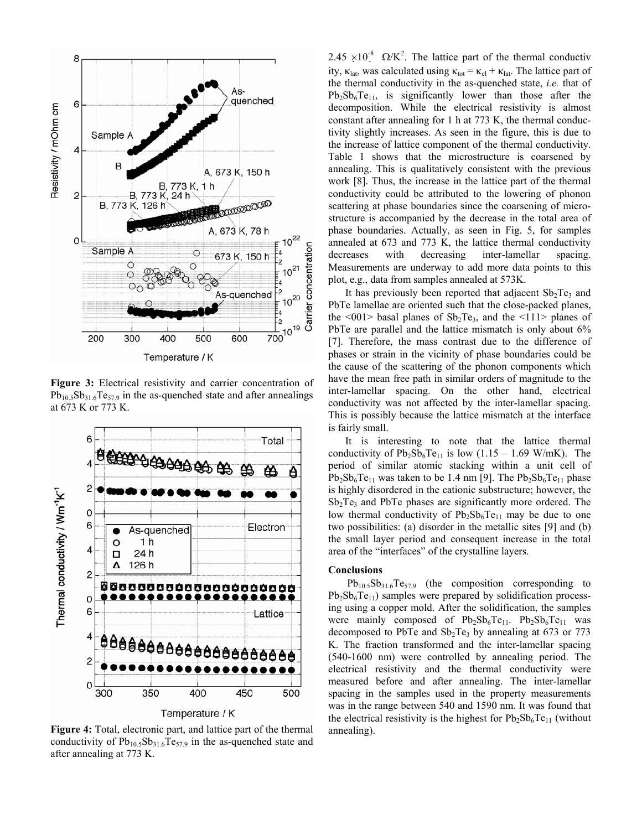

**Figure 3:** Electrical resistivity and carrier concentration of  $Pb_{10.5}Sb_{31.6}Te_{57.9}$  in the as-quenched state and after annealings at 673 K or 773 K.



**Figure 4:** Total, electronic part, and lattice part of the thermal conductivity of  $Pb_{10.5}Sb_{31.6}Te_{57.9}$  in the as-quenched state and after annealing at 773 K.

2.45 × 10<sup>-8</sup>  $\Omega/K^2$ . The lattice part of the thermal conductiv ity,  $\kappa_{\text{lat}}$ , was calculated using  $\kappa_{\text{tot}} = \kappa_{\text{el}} + \kappa_{\text{lat}}$ . The lattice part of the thermal conductivity in the as-quenched state, *i.e.* that of  $Pb_2Sb_6Te_{11}$ , is significantly lower than those after the decomposition. While the electrical resistivity is almost constant after annealing for 1 h at 773 K, the thermal conductivity slightly increases. As seen in the figure, this is due to the increase of lattice component of the thermal conductivity. Table 1 shows that the microstructure is coarsened by annealing. This is qualitatively consistent with the previous work [8]. Thus, the increase in the lattice part of the thermal conductivity could be attributed to the lowering of phonon scattering at phase boundaries since the coarsening of microstructure is accompanied by the decrease in the total area of phase boundaries. Actually, as seen in Fig. 5, for samples annealed at 673 and 773 K, the lattice thermal conductivity decreases with decreasing inter-lamellar spacing. Measurements are underway to add more data points to this plot, e.g., data from samples annealed at 573K.

It has previously been reported that adjacent  $Sb<sub>2</sub>Te<sub>3</sub>$  and PbTe lamellae are oriented such that the close-packed planes, the <001> basal planes of  $Sb_2Te_3$ , and the <111> planes of PbTe are parallel and the lattice mismatch is only about 6% [7]. Therefore, the mass contrast due to the difference of phases or strain in the vicinity of phase boundaries could be the cause of the scattering of the phonon components which have the mean free path in similar orders of magnitude to the inter-lamellar spacing. On the other hand, electrical conductivity was not affected by the inter-lamellar spacing. This is possibly because the lattice mismatch at the interface is fairly small.

It is interesting to note that the lattice thermal conductivity of  $Pb_2Sb_6Te_{11}$  is low (1.15 – 1.69 W/mK). The period of similar atomic stacking within a unit cell of  $Pb_2Sb_6Te_{11}$  was taken to be 1.4 nm [9]. The  $Pb_2Sb_6Te_{11}$  phase is highly disordered in the cationic substructure; however, the  $Sb<sub>2</sub>Te<sub>3</sub>$  and PbTe phases are significantly more ordered. The low thermal conductivity of  $Pb_2Sb_6Te_{11}$  may be due to one two possibilities: (a) disorder in the metallic sites [9] and (b) the small layer period and consequent increase in the total area of the "interfaces" of the crystalline layers.

## **Conclusions**

 $Pb_{10.5}Sb_{31.6}Te_{57.9}$  (the composition corresponding to  $Pb_2Sb_6Te_{11}$ ) samples were prepared by solidification processing using a copper mold. After the solidification, the samples were mainly composed of  $Pb_2Sb_6Te_{11}$ .  $Pb_2Sb_6Te_{11}$  was decomposed to PbTe and  $Sb<sub>2</sub>Te<sub>3</sub>$  by annealing at 673 or 773 K. The fraction transformed and the inter-lamellar spacing (540-1600 nm) were controlled by annealing period. The electrical resistivity and the thermal conductivity were measured before and after annealing. The inter-lamellar spacing in the samples used in the property measurements was in the range between 540 and 1590 nm. It was found that the electrical resistivity is the highest for  $Pb_2Sb_6Te_{11}$  (without annealing).